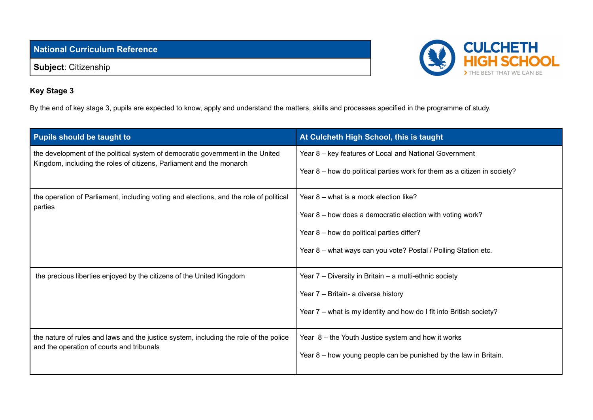**National Curriculum Reference**

**Subject**: Citizenship



## **Key Stage 3**

By the end of key stage 3, pupils are expected to know, apply and understand the matters, skills and processes specified in the programme of study.

| Pupils should be taught to                                                                                                                             | At Culcheth High School, this is taught                                  |
|--------------------------------------------------------------------------------------------------------------------------------------------------------|--------------------------------------------------------------------------|
| the development of the political system of democratic government in the United<br>Kingdom, including the roles of citizens, Parliament and the monarch | Year 8 – key features of Local and National Government                   |
|                                                                                                                                                        | Year 8 - how do political parties work for them as a citizen in society? |
| the operation of Parliament, including voting and elections, and the role of political<br>parties                                                      | Year 8 - what is a mock election like?                                   |
|                                                                                                                                                        | Year 8 - how does a democratic election with voting work?                |
|                                                                                                                                                        | Year 8 - how do political parties differ?                                |
|                                                                                                                                                        | Year 8 - what ways can you vote? Postal / Polling Station etc.           |
| the precious liberties enjoyed by the citizens of the United Kingdom                                                                                   | Year 7 – Diversity in Britain – a multi-ethnic society                   |
|                                                                                                                                                        | Year 7 - Britain- a diverse history                                      |
|                                                                                                                                                        | Year 7 – what is my identity and how do I fit into British society?      |
| the nature of rules and laws and the justice system, including the role of the police<br>and the operation of courts and tribunals                     | Year 8 - the Youth Justice system and how it works                       |
|                                                                                                                                                        | Year 8 – how young people can be punished by the law in Britain.         |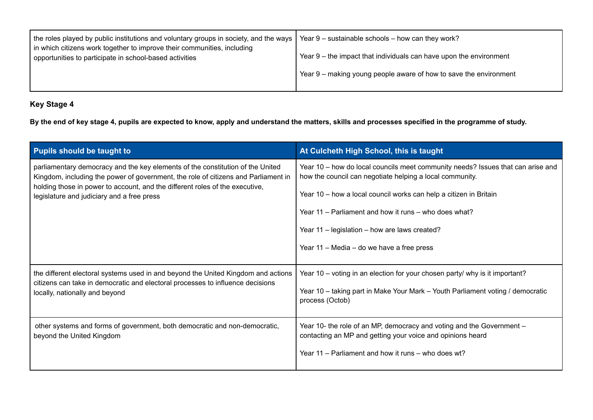| the roles played by public institutions and voluntary groups in society, and the ways                                                | Year 9 – sustainable schools – how can they work?                  |
|--------------------------------------------------------------------------------------------------------------------------------------|--------------------------------------------------------------------|
| I in which citizens work together to improve their communities, including<br>opportunities to participate in school-based activities | Year 9 – the impact that individuals can have upon the environment |
|                                                                                                                                      | Year 9 – making young people aware of how to save the environment  |
|                                                                                                                                      |                                                                    |

## **Key Stage 4**

By the end of key stage 4, pupils are expected to know, apply and understand the matters, skills and processes specified in the programme of study.

| <b>Pupils should be taught to</b>                                                                                                                                                                                                                                                                  | At Culcheth High School, this is taught                                                                                                                                                                                                                                                                                                                                 |
|----------------------------------------------------------------------------------------------------------------------------------------------------------------------------------------------------------------------------------------------------------------------------------------------------|-------------------------------------------------------------------------------------------------------------------------------------------------------------------------------------------------------------------------------------------------------------------------------------------------------------------------------------------------------------------------|
| parliamentary democracy and the key elements of the constitution of the United<br>Kingdom, including the power of government, the role of citizens and Parliament in<br>holding those in power to account, and the different roles of the executive,<br>legislature and judiciary and a free press | Year 10 - how do local councils meet community needs? Issues that can arise and<br>how the council can negotiate helping a local community.<br>Year 10 – how a local council works can help a citizen in Britain<br>Year 11 – Parliament and how it runs – who does what?<br>Year 11 - legislation - how are laws created?<br>Year 11 – Media – do we have a free press |
| the different electoral systems used in and beyond the United Kingdom and actions<br>citizens can take in democratic and electoral processes to influence decisions<br>locally, nationally and beyond                                                                                              | Year 10 – voting in an election for your chosen party/ why is it important?<br>Year 10 - taking part in Make Your Mark - Youth Parliament voting / democratic<br>process (Octob)                                                                                                                                                                                        |
| other systems and forms of government, both democratic and non-democratic,<br>beyond the United Kingdom                                                                                                                                                                                            | Year 10- the role of an MP, democracy and voting and the Government -<br>contacting an MP and getting your voice and opinions heard<br>Year 11 - Parliament and how it runs - who does wt?                                                                                                                                                                              |